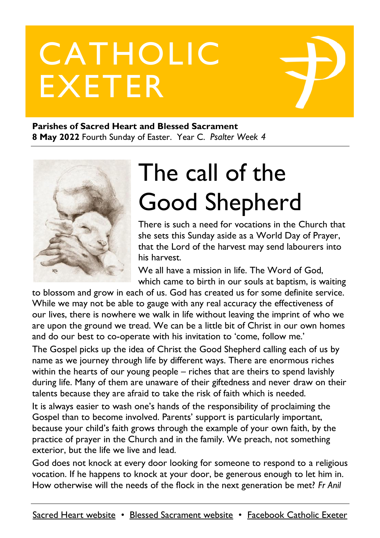# CATHOLIC EXETER

#### **Parishes of Sacred Heart and Blessed Sacrament 8 May 2022** Fourth Sunday of Easter. Year C. *Psalter Week 4*



# The call of the Good Shepherd

There is such a need for vocations in the Church that she sets this Sunday aside as a World Day of Prayer, that the Lord of the harvest may send labourers into his harvest.

We all have a mission in life. The Word of God, which came to birth in our souls at baptism, is waiting

to blossom and grow in each of us. God has created us for some definite service. While we may not be able to gauge with any real accuracy the effectiveness of our lives, there is nowhere we walk in life without leaving the imprint of who we are upon the ground we tread. We can be a little bit of Christ in our own homes and do our best to co-operate with his invitation to 'come, follow me.'

The Gospel picks up the idea of Christ the Good Shepherd calling each of us by name as we journey through life by different ways. There are enormous riches within the hearts of our young people – riches that are theirs to spend lavishly during life. Many of them are unaware of their giftedness and never draw on their talents because they are afraid to take the risk of faith which is needed.

It is always easier to wash one's hands of the responsibility of proclaiming the Gospel than to become involved. Parents' support is particularly important, because your child's faith grows through the example of your own faith, by the practice of prayer in the Church and in the family. We preach, not something exterior, but the life we live and lead.

God does not knock at every door looking for someone to respond to a religious vocation. If he happens to knock at your door, be generous enough to let him in. How otherwise will the needs of the flock in the next generation be met? *Fr Anil*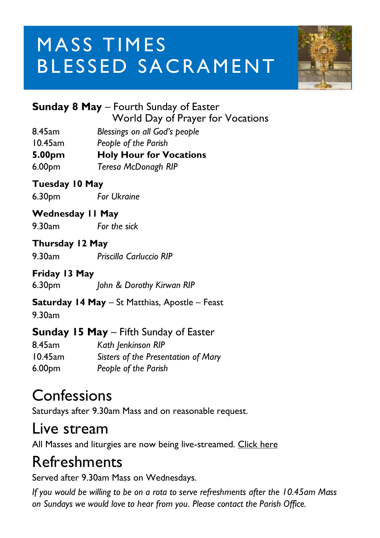# **MASS TIMES** BLESSED SACRAMENT



| <b>Sunday 8 May</b> – Fourth Sunday of Easter |
|-----------------------------------------------|
| World Day of Prayer for Vocations             |

- 8.45am *Blessings on all God's people*
- 10.45am *People of the Parish*
- **5.00pm Holy Hour for Vocations**
- 6.00pm *Teresa McDonagh RIP*

#### **Tuesday 10 May**

6.30pm *For Ukraine*

#### **Wednesday 11 May**

9.30am *For the sick*

#### **Thursday 12 May**

9.30am *Priscilla Carluccio RIP*

#### **Friday 13 May**

6.30pm *John & Dorothy Kirwan RIP*

**Saturday 14 May** – St Matthias, Apostle – Feast

9.30am

#### **Sunday 15 May** – Fifth Sunday of Easter

| 8.45am     | Kath Jenkinson RIP                  |
|------------|-------------------------------------|
| $10.45$ am | Sisters of the Presentation of Mary |
| 6.00pm     | People of the Parish                |

#### Confessions

Saturdays after 9.30am Mass and on reasonable request.

#### Live stream

All Masses and liturgies are now being live-streamed. [Click here](https://www.youtube.com/c/BlessedSacramentExeter)

### Refreshments

Served after 9.30am Mass on Wednesdays.

*If you would be willing to be on a rota to serve refreshments after the 10.45am Mass on Sundays we would love to hear from you. Please contact the Parish Office.*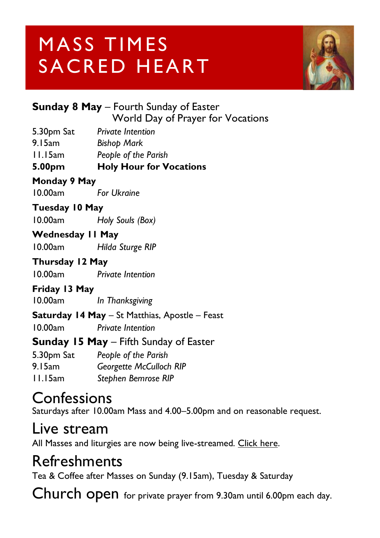# MASS TIMES SACRED HEART



| <b>Sunday 8 May</b> – Fourth Sunday of Easter |  |
|-----------------------------------------------|--|
| World Day of Prayer for Vocations             |  |
|                                               |  |

5.30pm Sat *Private Intention*

9.15am *Bishop Mark*

11.15am *People of the Parish*

#### **5.00pm Holy Hour for Vocations**

#### **Monday 9 May**

10.00am *For Ukraine*

#### **Tuesday 10 May**

10.00am *Holy Souls (Box)*

#### **Wednesday 11 May**

10.00am *Hilda Sturge RIP*

#### **Thursday 12 May**

10.00am *Private Intention*

**Friday 13 May** 10.00am *In Thanksgiving*

#### **Saturday 14 May** – St Matthias, Apostle – Feast 10.00am *Private Intention*

#### **Sunday 15 May** – Fifth Sunday of Easter

5.30pm Sat *People of the Parish* 9.15am *Georgette McCulloch RIP* 11.15am *Stephen Bemrose RIP*

#### **Confessions**

Saturdays after 10.00am Mass and 4.00–5.00pm and on reasonable request.

#### Live stream

All Masses and liturgies are now being live-streamed. [Click here.](https://www.youtube.com/channel/UCqZLydKWQ6CqG2utRNBeKmA)

#### Refreshments

Tea & Coffee after Masses on Sunday (9.15am), Tuesday & Saturday

Church open for private prayer from 9.30am until 6.00pm each day.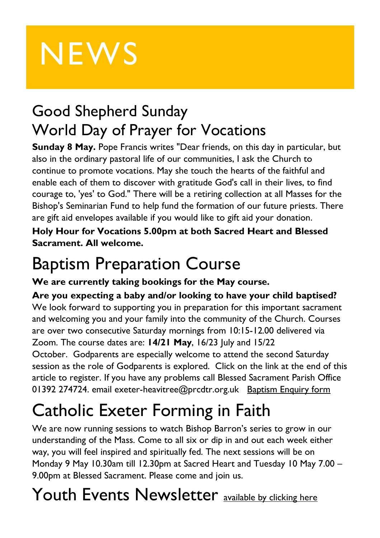# **NEWS**

### Good Shepherd Sunday World Day of Prayer for Vocations

**Sunday 8 May.** Pope Francis writes "Dear friends, on this day in particular, but also in the ordinary pastoral life of our communities, I ask the Church to continue to promote vocations. May she touch the hearts of the faithful and enable each of them to discover with gratitude God's call in their lives, to find courage to, 'yes' to God." There will be a retiring collection at all Masses for the Bishop's Seminarian Fund to help fund the formation of our future priests. There are gift aid envelopes available if you would like to gift aid your donation.

**Holy Hour for Vocations 5.00pm at both Sacred Heart and Blessed Sacrament. All welcome.**

## Baptism Preparation Course

**We are currently taking bookings for the May course.**

**Are you expecting a baby and/or looking to have your child baptised?** We look forward to supporting you in preparation for this important sacrament and welcoming you and your family into the community of the Church. Courses are over two consecutive Saturday mornings from 10:15-12.00 delivered via Zoom. The course dates are: **14/21 May**, 16/23 July and 15/22 October. Godparents are especially welcome to attend the second Saturday session as the role of Godparents is explored. Click on the link at the end of this article to register. If you have any problems call Blessed Sacrament Parish Office 01392 274724. email exeter-heavitree@prcdtr.org.uk [Baptism](https://docs.google.com/forms/d/1bgbx-gDVZaqwyjbRS6c6lJrCh2Jt-5ZQYy-1tPBwM4g/edit) Enquiry form

# Catholic Exeter Forming in Faith

We are now running sessions to watch Bishop Barron's series to grow in our understanding of the Mass. Come to all six or dip in and out each week either way, you will feel inspired and spiritually fed. The next sessions will be on Monday 9 May 10.30am till 12.30pm at Sacred Heart and Tuesday 10 May 7.00 – 9.00pm at Blessed Sacrament. Please come and join us.

## Youth Events Newsletter **[available by clicking here](https://email.workwithgusto.co.uk/t/t-A6F98318701C324C2540EF23F30FEDED)**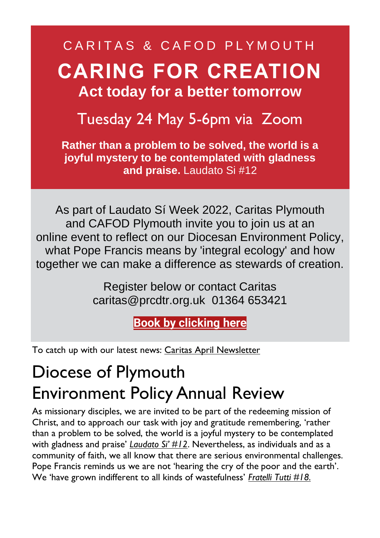### CARITAS & CAFOD PLYMOUTH **CARING FOR CREATION Act today for a better tomorrow**

#### Tuesday 24 May 5-6pm via Zoom

**Rather than a problem to be solved, the world is a joyful mystery to be contemplated with gladness and praise.** Laudato Si #12

As part of Laudato Sí Week 2022, Caritas Plymouth and CAFOD Plymouth invite you to join us at an online event to reflect on our Diocesan Environment Policy, what Pope Francis means by 'integral ecology' and how together we can make a difference as stewards of creation.

> Register below or contact Caritas caritas@prcdtr.org.uk 01364 653421

> > **Book [by clicking](https://linkprotect.cudasvc.com/url?a=https%3a%2f%2femail.workwithgusto.co.uk%2ft%2ft-l-qtkijtt-jltdidjjii-y%2f&c=E,1,LNjO26a09RB5dX1_dmkj0IsFDpIQcurRmqxnG727l5PFSteydM7eayCHTmy5Mq_-j3Sb9iO6UFUqqbIH_1lqwtVRFoc01WikVK5kVkCNTW5Kwxw1sw,,&typo=1) here**

To catch up with our latest news: Caritas April [Newsletter](https://email.workwithgusto.co.uk/t/t-92E98FEB5804515E2540EF23F30FEDED)

## Diocese of Plymouth Environment Policy Annual Review

As missionary disciples, we are invited to be part of the redeeming mission of Christ, and to approach our task with joy and gratitude remembering, 'rather than a problem to be solved, the world is a joyful mystery to be contemplated with gladness and praise' *[Laudato](https://www.vatican.va/content/francesco/en/encyclicals/documents/papa-francesco_20150524_enciclica-laudato-si.html) Si' #12*. Nevertheless, as individuals and as a community of faith, we all know that there are serious environmental challenges. Pope Francis reminds us we are not 'hearing the cry of the poor and the earth'. We 'have grown indifferent to all kinds of wastefulness' *[Fratelli](https://www.vatican.va/content/francesco/en/encyclicals/documents/papa-francesco_20201003_enciclica-fratelli-tutti.html) Tutti #18.*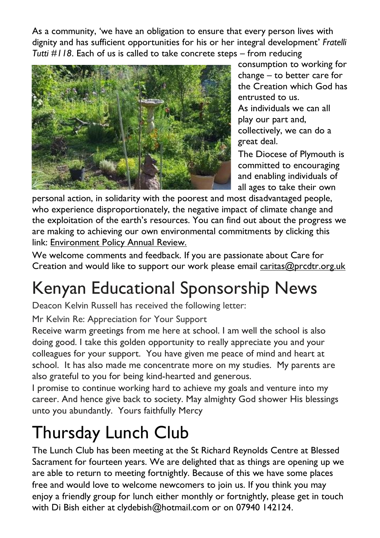As a community, 'we have an obligation to ensure that every person lives with dignity and has sufficient opportunities for his or her integral development' *Fratelli Tutti #118*. Each of us is called to take concrete steps – from reducing



consumption to working for change – to better care for the Creation which God has entrusted to us.

As individuals we can all play our part and, collectively, we can do a great deal.

The Diocese of Plymouth is committed to encouraging and enabling individuals of all ages to take their own

personal action, in solidarity with the poorest and most disadvantaged people, who experience disproportionately, the negative impact of climate change and the exploitation of the earth's resources. You can find out about the progress we are making to achieving our own environmental commitments by clicking this link: [Environment](https://www.plymouth-diocese.org.uk/wp-content/uploads/2022/03/Environmental-Policy-Review-2021-2.pdf) Policy Annual Review.

We welcome comments and feedback. If you are passionate about Care for Creation and would like to support our work please email [caritas@prcdtr.org.uk](mailto:caritas@prcdtr.org.uk)

# Kenyan Educational Sponsorship News

Deacon Kelvin Russell has received the following letter:

Mr Kelvin Re: Appreciation for Your Support

Receive warm greetings from me here at school. I am well the school is also doing good. I take this golden opportunity to really appreciate you and your colleagues for your support. You have given me peace of mind and heart at school. It has also made me concentrate more on my studies. My parents are also grateful to you for being kind-hearted and generous.

I promise to continue working hard to achieve my goals and venture into my career. And hence give back to society. May almighty God shower His blessings unto you abundantly. Yours faithfully Mercy

## Thursday Lunch Club

The Lunch Club has been meeting at the St Richard Reynolds Centre at Blessed Sacrament for fourteen years. We are delighted that as things are opening up we are able to return to meeting fortnightly. Because of this we have some places free and would love to welcome newcomers to join us. If you think you may enjoy a friendly group for lunch either monthly or fortnightly, please get in touch with Di Bish either at clydebish@hotmail.com or on 07940 142124.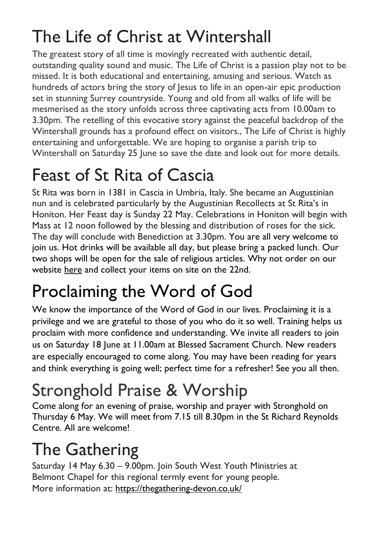# The Life of Christ at Wintershall

The greatest story of all time is movingly recreated with authentic detail, outstanding quality sound and music. The Life of Christ is a passion play not to be missed. It is both educational and entertaining, amusing and serious. Watch as hundreds of actors bring the story of lesus to life in an open-air epic production set in stunning Surrey countryside. Young and old from all walks of life will be mesmerised as the story unfolds across three captivating acts from 10.00am to 3.30pm. The retelling of this evocative story against the peaceful backdrop of the Wintershall grounds has a profound effect on visitors., The Life of Christ is highly entertaining and unforgettable. We are hoping to organise a parish trip to Wintershall on Saturday 25 June so save the date and look out for more details.

## Feast of St Rita of Cascia

St Rita was born in 1381 in Cascia in Umbria, Italy. She became an Augustinian nun and is celebrated particularly by the Augustinian Recollects at St Rita's in Honiton. Her Feast day is Sunday 22 May. Celebrations in Honiton will begin with Mass at 12 noon followed by the blessing and distribution of roses for the sick. The day will conclude with Benediction at 3.30pm. You are all very welcome to join us. Hot drinks will be available all day, but please bring a packed lunch. Our two shops will be open for the sale of religious articles. Why not order on our website [here](https://www.stritascentre.org/st-rita-s-shop) and collect your items on site on the 22nd.

# Proclaiming the Word of God

We know the importance of the Word of God in our lives. Proclaiming it is a privilege and we are grateful to those of you who do it so well. Training helps us proclaim with more confidence and understanding. We invite all readers to join us on Saturday 18 June at 11.00am at Blessed Sacrament Church. New readers are especially encouraged to come along. You may have been reading for years and think everything is going well; perfect time for a refresher! See you all then.

# Stronghold Praise & Worship

Come along for an evening of praise, worship and prayer with Stronghold on Thursday 6 May. We will meet from 7.15 till 8.30pm in the St Richard Reynolds Centre. All are welcome!

# The Gathering

Saturday 14 May 6.30 – 9.00pm. Join South West Youth Ministries at Belmont Chapel for this regional termly event for young people. More information at: https://thegathering-devon.co.uk/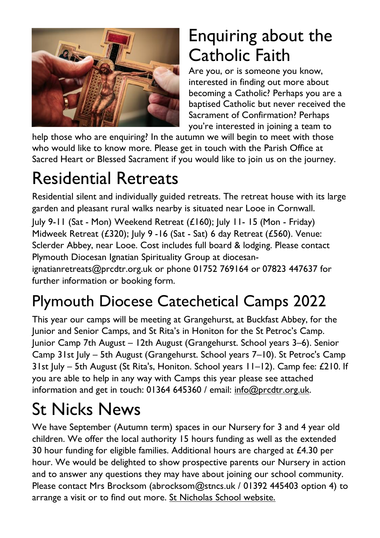

## Enquiring about the Catholic Faith

Are you, or is someone you know, interested in finding out more about becoming a Catholic? Perhaps you are a baptised Catholic but never received the Sacrament of Confirmation? Perhaps you're interested in joining a team to

help those who are enquiring? In the autumn we will begin to meet with those who would like to know more. Please get in touch with the Parish Office at Sacred Heart or Blessed Sacrament if you would like to join us on the journey.

# Residential Retreats

Residential silent and individually guided retreats. The retreat house with its large garden and pleasant rural walks nearby is situated near Looe in Cornwall. July 9-11 (Sat - Mon) Weekend Retreat (£160); July 11- 15 (Mon - Friday) Midweek Retreat (£320); July 9 -16 (Sat - Sat) 6 day Retreat (£560). Venue: Sclerder Abbey, near Looe. Cost includes full board & lodging. Please contact Plymouth Diocesan Ignatian Spirituality Group at diocesanignatianretreats@prcdtr.org.uk or phone 01752 769164 or 07823 447637 for further information or booking form.

## Plymouth Diocese Catechetical Camps 2022

This year our camps will be meeting at Grangehurst, at Buckfast Abbey, for the Junior and Senior Camps, and St Rita's in Honiton for the St Petroc's Camp. Junior Camp 7th August – 12th August (Grangehurst. School years 3–6). Senior Camp 31st July – 5th August (Grangehurst. School years 7–10). St Petroc's Camp 31st July – 5th August (St Rita's, Honiton. School years 11–12). Camp fee: £210. If you are able to help in any way with Camps this year please see attached information and get in touch: 01364 645360 / email: [info@prcdtr.org.uk.](mailto:info@prcdtr.org.uk)

## St Nicks News

We have September (Autumn term) spaces in our Nursery for 3 and 4 year old children. We offer the local authority 15 hours funding as well as the extended 30 hour funding for eligible families. Additional hours are charged at  $£4.30$  per hour. We would be delighted to show prospective parents our Nursery in action and to answer any questions they may have about joining our school community. Please contact Mrs Brocksom [\(abrocksom@stncs.uk](mailto:abrocksom@stncs.uk) / 01392 445403 option 4) to arrange a visit or to find out more. St [Nicholas](http://www.st-nicholas-exeter.devon.sch.uk/website) School website.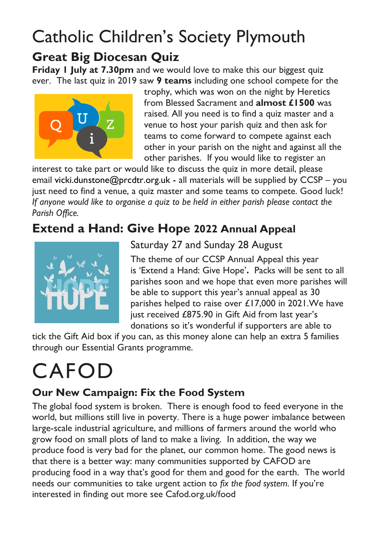#### Catholic Children's Society Plymouth **Great Big Diocesan Quiz**

**Friday 1 July at 7.30pm** and we would love to make this our biggest quiz ever. The last quiz in 2019 saw **9 teams** including one school compete for the



trophy, which was won on the night by Heretics from Blessed Sacrament and **almost £1500** was raised. All you need is to find a quiz master and a venue to host your parish quiz and then ask for teams to come forward to compete against each other in your parish on the night and against all the other parishes. If you would like to register an

interest to take part or would like to discuss the quiz in more detail, please email [vicki.dunstone@prcdtr.org.uk](mailto:vicki.dunstone@prcdtr.org.uk) - all materials will be supplied by CCSP – you just need to find a venue, a quiz master and some teams to compete. Good luck! *If anyone would like to organise a quiz to be held in either parish please contact the Parish Office.*

#### **Extend a Hand: Give Hope 2022 Annual Appeal**



Saturday 27 and Sunday 28 August

The theme of our CCSP Annual Appeal this year is 'Extend a Hand: Give Hope'**.** Packs will be sent to all parishes soon and we hope that even more parishes will be able to support this year's annual appeal as 30 parishes helped to raise over £17,000 in 2021.We have just received £875.90 in Gift Aid from last year's donations so it's wonderful if supporters are able to

tick the Gift Aid box if you can, as this money alone can help an extra 5 families through our Essential Grants programme.

# CAFOD

#### **Our New Campaign: Fix the Food System**

The global food system is broken. There is enough food to feed everyone in the world, but millions still live in poverty. There is a huge power imbalance between large-scale industrial agriculture, and millions of farmers around the world who grow food on small plots of land to make a living. In addition, the way we produce food is very bad for the planet, our common home. The good news is that there is a better way: many communities supported by CAFOD are producing food in a way that's good for them and good for the earth. The world needs our communities to take urgent action to *fix the food system.* If you're interested in finding out more see Cafod.org.uk/food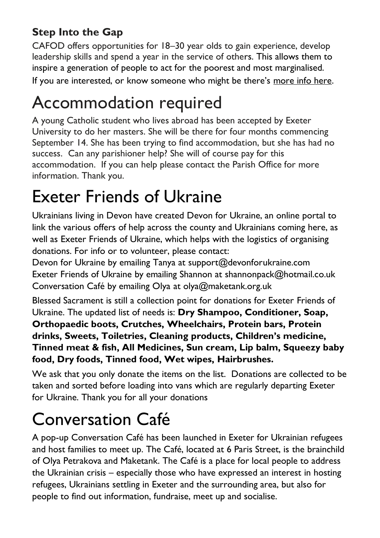#### **Step Into the Gap**

CAFOD offers opportunities for 18–30 year olds to gain experience, develop leadership skills and spend a year in the service of others. This allows them to inspire a generation of people to act for the poorest and most marginalised.

If you are interested, or know someone who might be there's [more info here.](https://cafod.org.uk/Education/For-young-people/CAFOD-Gap-year)

## Accommodation required

A young Catholic student who lives abroad has been accepted by Exeter University to do her masters. She will be there for four months commencing September 14. She has been trying to find accommodation, but she has had no success. Can any parishioner help? She will of course pay for this accommodation. If you can help please contact the Parish Office for more information. Thank you.

### Exeter Friends of Ukraine

Ukrainians living in Devon have created Devon for Ukraine, an online portal to link the various offers of help across the county and Ukrainians coming here, as well as Exeter Friends of Ukraine, which helps with the logistics of organising donations. For info or to volunteer, please contact:

Devon for Ukraine by emailing Tanya at [support@devonforukraine.com](mailto:support@devonforukraine.com) Exeter Friends of Ukraine by emailing Shannon at [shannonpack@hotmail.co.uk](mailto:shannonpack@hotmail.co.uk) Conversation Café by emailing Olya at [olya@maketank.org.uk](mailto:olya@maketank.org.uk)

Blessed Sacrament is still a collection point for donations for Exeter Friends of Ukraine. The updated list of needs is: **Dry Shampoo, Conditioner, Soap, Orthopaedic boots, Crutches, Wheelchairs, Protein bars, Protein drinks, Sweets, Toiletries, Cleaning products, Children's medicine, Tinned meat & fish, All Medicines, Sun cream, Lip balm, Squeezy baby food, Dry foods, Tinned food, Wet wipes, Hairbrushes.**

We ask that you only donate the items on the list. Donations are collected to be taken and sorted before loading into vans which are regularly departing Exeter for Ukraine. Thank you for all your donations

## Conversation Café

A pop-up Conversation Café has been launched in Exeter for Ukrainian refugees and host families to meet up. The Café, located at 6 Paris Street, is the brainchild of Olya Petrakova and Maketank. The Café is a place for local people to address the Ukrainian crisis – especially those who have expressed an interest in hosting refugees, Ukrainians settling in Exeter and the surrounding area, but also for people to find out information, fundraise, meet up and socialise.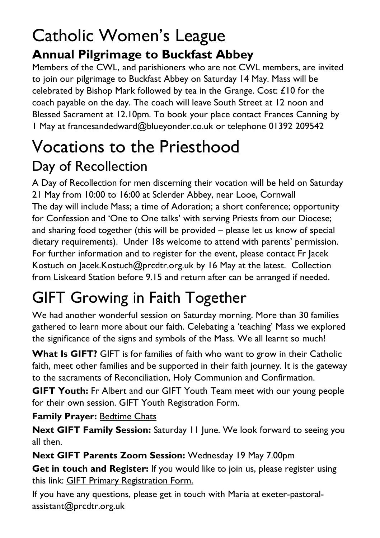### Catholic Women's League **Annual Pilgrimage to Buckfast Abbey**

Members of the CWL, and parishioners who are not CWL members, are invited to join our pilgrimage to Buckfast Abbey on Saturday 14 May. Mass will be celebrated by Bishop Mark followed by tea in the Grange. Cost: £10 for the coach payable on the day. The coach will leave South Street at 12 noon and Blessed Sacrament at 12.10pm. To book your place contact Frances Canning by 1 May a[t francesandedward@blueyonder.co.uk](mailto:francesandedward@blueyonder.co.uk) or telephone 01392 209542

## Vocations to the Priesthood Day of Recollection

A Day of Recollection for men discerning their vocation will be held on Saturday 21 May from 10:00 to 16:00 at Sclerder Abbey, near Looe, Cornwall The day will include Mass; a time of Adoration; a short conference; opportunity for Confession and 'One to One talks' with serving Priests from our Diocese; and sharing food together (this will be provided – please let us know of special dietary requirements). Under 18s welcome to attend with parents' permission. For further information and to register for the event, please contact Fr Jacek Kostuch on [Jacek.Kostuch@prcdtr.org.uk](mailto:Jacek.Kostuch@prcdtr.org.uk) by 16 May at the latest. Collection from Liskeard Station before 9.15 and return after can be arranged if needed.

## GIFT Growing in Faith Together

We had another wonderful session on Saturday morning. More than 30 families gathered to learn more about our faith. Celebating a 'teaching' Mass we explored the significance of the signs and symbols of the Mass. We all learnt so much!

**What Is GIFT?** GIFT is for families of faith who want to grow in their Catholic faith, meet other families and be supported in their faith journey. It is the gateway to the sacraments of Reconciliation, Holy Communion and Confirmation.

**GIFT Youth:** Fr Albert and our GIFT Youth Team meet with our young people for their own session. GIFT Youth [Registration](https://docs.google.com/forms/d/1js2AU2QewgH1ui7kjv2-mKDJcyulRGa34G-Eo3ao8FI/edit) Form.

#### **Family Prayer:** [Bedtime](https://www.blessedsacrament.org.uk/parish-life/gift/) Chats

**Next GIFT Family Session:** Saturday 11 June. We look forward to seeing you all then.

**Next GIFT Parents Zoom Session:** Wednesday 19 May 7.00pm

**Get in touch and Register:** If you would like to join us, please register using this link: GIFT Primary [Registration](https://docs.google.com/forms/d/1Qs8jP69t9hS5V3ukZvm34yn8pDZdS0iDYrhXY_j8pMQ/edit) Form.

If you have any questions, please get in touch with Maria at [exeter-pastoral](mailto:exeter-pastoral-assistant@prcdtr.org.uk)[assistant@prcdtr.org.uk](mailto:exeter-pastoral-assistant@prcdtr.org.uk)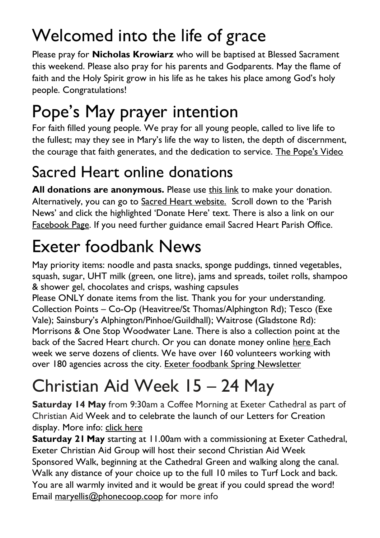# Welcomed into the life of grace

Please pray for **Nicholas Krowiarz** who will be baptised at Blessed Sacrament this weekend. Please also pray for his parents and Godparents. May the flame of faith and the Holy Spirit grow in his life as he takes his place among God's holy people. Congratulations!

# Pope's May prayer intention

For faith filled young people. We pray for all young people, called to live life to the fullest; may they see in Mary's life the way to listen, the depth of discernment, the courage that faith generates, and the dedication to service. [The Pope's Video](https://thepopevideo.org/)

## Sacred Heart online donations

**All donations are anonymous.** Please use [this](https://givealittle.co/campaigns/f94e8739-d2fd-4ce6-9fca60470ef39403) link to make your donation. Alternatively, you can go to Sacred Heart [website.](https://www.sacredheartexeter.org/) Scroll down to the 'Parish News' and click the highlighted 'Donate Here' text. There is also a link on our [Facebook](https://www.facebook.com/Sacred-HeartCatholic-Church-Exeter-422138011310698) Page. If you need further guidance email Sacred Heart Parish Office.

# Exeter foodbank News

May priority items: noodle and pasta snacks, sponge puddings, tinned vegetables, squash, sugar, UHT milk (green, one litre), jams and spreads, toilet rolls, shampoo & shower gel, chocolates and crisps, washing capsules

Please ONLY donate items from the list. Thank you for your understanding. Collection Points – Co-Op (Heavitree/St Thomas/Alphington Rd); Tesco (Exe Vale); Sainsbury's Alphington/Pinhoe/Guildhall); Waitrose (Gladstone Rd): Morrisons & One Stop Woodwater Lane. There is also a collection point at the back of the Sacred Heart church. Or you can donate money online [here](https://uk.virginmoneygiving.com/charity-web/charity/finalCharityHomepage.action?charityId=1016975&_ga=2.106832579.1384579075.1617955505-1667813714.1617955505) Each week we serve dozens of clients. We have over 160 volunteers working with over 180 agencies across the city. [Exeter foodbank Spring Newsletter](https://exeter.foodbank.org.uk/wp-content/uploads/sites/368/2022/04/EFBNewsletterSpring2022V5.pdf)

# Christian Aid Week 15 – 24 May

**Saturday 14 May** from 9:30am a Coffee Morning at Exeter Cathedral as part of Christian Aid Week and to celebrate the launch of our Letters for Creation display. More info: click [here](https://linkprotect.cudasvc.com/url?a=https%3a%2f%2fwww.exeter-cathedral.org.uk%2fwhats-on%2fevents%2fletters-for-creation-display%2f&c=E,1,UuadEMv9apYwuhjPzj0-Yjuryz97di41WBpSgcjYIFTg65R8hyHCKISUQj1NXdBcOYkZMeGAmPI5FBEXVGpZZPc5VxTgSnUwHSwjaqXT&typo=1)

**Saturday 21 May** starting at 11.00am with a commissioning at Exeter Cathedral, Exeter Christian Aid Group will host their second Christian Aid Week Sponsored Walk, beginning at the Cathedral Green and walking along the canal. Walk any distance of your choice up to the full 10 miles to Turf Lock and back. You are all warmly invited and it would be great if you could spread the word! Email [maryellis@phonecoop.coop](mailto:maryellis@phonecoop.coop) for more info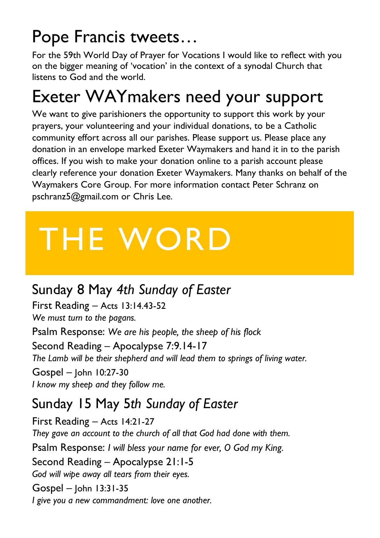## Pope Francis tweets…

For the 59th World Day of Prayer for Vocations I would like to reflect with you on the bigger meaning of 'vocation' in the context of a synodal Church that listens to God and the world.

## Exeter WAYmakers need your support

We want to give parishioners the opportunity to support this work by your prayers, your volunteering and your individual donations, to be a Catholic community effort across all our parishes. Please support us. Please place any donation in an envelope marked Exeter Waymakers and hand it in to the parish offices. If you wish to make your donation online to a parish account please clearly reference your donation Exeter Waymakers. Many thanks on behalf of the Waymakers Core Group. For more information contact Peter Schranz on [pschranz5@gmail.com](mailto:pschranz5@gmail.com) or Chris Lee.

# THE WORD

#### Sunday 8 May *4th Sunday of Easter*

First Reading – Acts 13:14.43-52 *We must turn to the pagans.*

Psalm Response: *We are his people, the sheep of his flock* Second Reading – Apocalypse 7:9.14-17 *The Lamb will be their shepherd and will lead them to springs of living water.*

Gospel – John 10:27-30 *I know my sheep and they follow me.*

#### Sunday 15 May 5*th Sunday of Easter*

First Reading – Acts 14:21-27 *They gave an account to the church of all that God had done with them.* Psalm Response: *I will bless your name for ever, O God my King.* Second Reading – Apocalypse 21:1-5 *God will wipe away all tears from their eyes.* Gospel – John 13:31-35 *I give you a new commandment: love one another.*